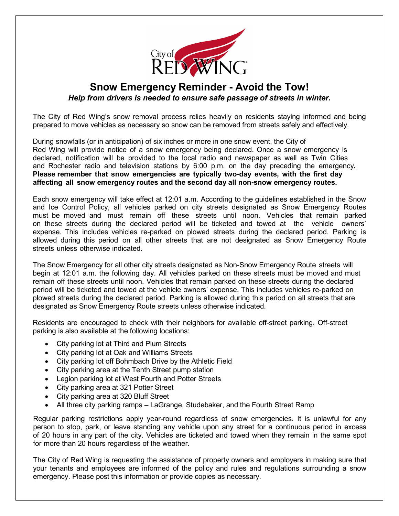

## **Snow Emergency Reminder - Avoid the Tow!** *Help from drivers is needed to ensure safe passage of streets in winter.*

The City of Red Wing's snow removal process relies heavily on residents staying informed and being prepared to move vehicles as necessary so snow can be removed from streets safely and effectively.

During snowfalls (or in anticipation) of six inches or more in one snow event, the City of Red Wing will provide notice of a snow emergency being declared. Once a snow emergency is declared, notification will be provided to the local radio and newspaper as well as Twin Cities and Rochester radio and television stations by 6:00 p.m. on the day preceding the emergency**. Please remember that snow emergencies are typically two-day events, with the first day affecting all snow emergency routes and the second day all non-snow emergency routes.**

Each snow emergency will take effect at 12:01 a.m. According to the guidelines established in the Snow and Ice Control Policy, all vehicles parked on city streets designated as Snow Emergency Routes must be moved and must remain off these streets until noon. Vehicles that remain parked on these streets during the declared period will be ticketed and towed at the vehicle owners' expense. This includes vehicles re-parked on plowed streets during the declared period. Parking is allowed during this period on all other streets that are not designated as Snow Emergency Route streets unless otherwise indicated.

The Snow Emergency for all other city streets designated as Non-Snow Emergency Route streets will begin at 12:01 a.m. the following day. All vehicles parked on these streets must be moved and must remain off these streets until noon. Vehicles that remain parked on these streets during the declared period will be ticketed and towed at the vehicle owners' expense. This includes vehicles re-parked on plowed streets during the declared period. Parking is allowed during this period on all streets that are designated as Snow Emergency Route streets unless otherwise indicated.

Residents are encouraged to check with their neighbors for available off-street parking. Off-street parking is also available at the following locations:

- City parking lot at Third and Plum Streets
- City parking lot at Oak and Williams Streets
- City parking lot off Bohmbach Drive by the Athletic Field
- City parking area at the Tenth Street pump station
- Legion parking lot at West Fourth and Potter Streets
- City parking area at 321 Potter Street
- City parking area at 320 Bluff Street
- All three city parking ramps LaGrange, Studebaker, and the Fourth Street Ramp

Regular parking restrictions apply year-round regardless of snow emergencies. It is unlawful for any person to stop, park, or leave standing any vehicle upon any street for a continuous period in excess of 20 hours in any part of the city. Vehicles are ticketed and towed when they remain in the same spot for more than 20 hours regardless of the weather.

The City of Red Wing is requesting the assistance of property owners and employers in making sure that your tenants and employees are informed of the policy and rules and regulations surrounding a snow emergency. Please post this information or provide copies as necessary.